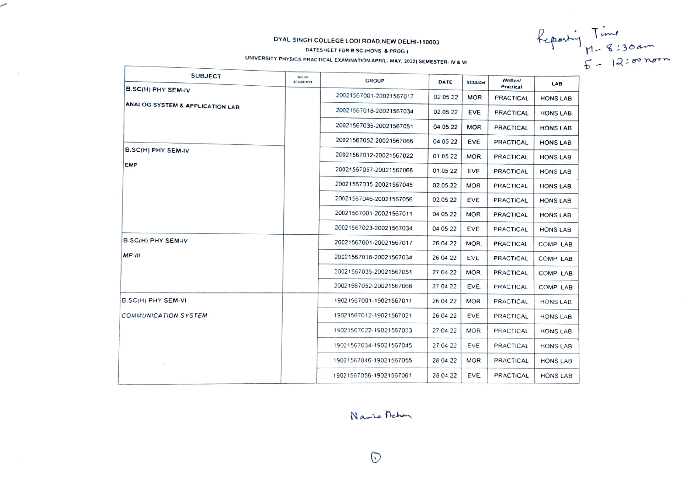# DYAL SINGH COLLEGE LODI ROAD, NEW DELHI-110003

DATESHEET FOR B.SC (HONS. & PROG.)

UNIVERSITY PHYSICS PRACTICAL EXAMINATION APRIL-MAY, 2022) SEMESTER-IV & VI

Reporting Time<br> $H - 8:30$ am<br> $E - 12:50$ nom

| <b>SUBJECT</b>                  | NO.OF<br><b>STUDENTS</b> | <b>GROUP</b>            | DATE     | <b>SESSION</b> | Writter<br><b>Practical</b> | LAB             |
|---------------------------------|--------------------------|-------------------------|----------|----------------|-----------------------------|-----------------|
| B.SC(H) PHY SEM-IV              |                          | 20021567001-20021567017 | 02 05 22 | MOR.           | <b>PRACTICAL</b>            | HONS LAB        |
| ANALOG SYSTEM & APPLICATION LAB |                          | 20021567018-20021567034 | 02.05.22 | EVE.           | <b>PRACTICAL</b>            | HONS LAB.       |
|                                 |                          | 20021567035-20021567051 | 04.05.22 | MOR.           | <b>PRACTICAL</b>            | HONS LAB.       |
|                                 |                          | 20021567052-20021567066 | 04.05.22 | EVE.           | <b>PRACTICAL</b>            | HONS LAB.       |
| <b>B.SC(H) PHY SEM-IV</b>       |                          | 20021567012-20021567022 | 01.05.22 | MOR.           | <b>PRACTICAL</b>            | HONS LAB        |
| <b>EMP</b>                      |                          | 20021567057-20021567066 | 01.05.22 | EVE.           | <b>PRACTICAL</b>            | HONS LAB        |
|                                 |                          | 20021567035-20021567045 | 02.05.22 | MOR.           | <b>PRACTICAL</b>            | HONS LAB.       |
|                                 |                          | 20021567046-20021567056 | 02.05.22 | EVE            | <b>PRACTICAL</b>            | <b>HONS LAB</b> |
|                                 |                          | 20021567001-20021567011 | 04 05 22 | <b>MOR</b>     | <b>PRACTICAL</b>            | HONS LAB        |
|                                 |                          | 20021567023-20021567034 | 04.05.22 | EVE.           | <b>PRACTICAL</b>            | <b>HONS LAB</b> |
| B.SC(H) PHY SEM-IV              |                          | 20021567001-20021567017 | 26 04 22 | MOR.           | <b>PRACTICAL</b>            | COMP. LAB       |
| $MP-III$                        |                          | 20021567018-20021567034 | 26 04 22 | EVE.           | <b>PRACTICAL</b>            | COMP. LAB.      |
|                                 |                          | 20021567035-20021567051 | 27.04.22 | MOR.           | <b>PRACTICAL</b>            | COMP. LAB.      |
|                                 |                          | 20021567052-20021567066 | 27 04 22 | EVE.           | <b>PRACTICAL</b>            | COMP LAB        |
| B.SC(H) PHY SEM-VI              |                          | 19021567001-19021567011 | 26.04 22 | <b>MOR</b>     | <b>PRACTICAL</b>            | HONS LAB        |
| <b>COMMUNICATION SYSTEM</b>     |                          | 19021567012-19021567021 | 26.04.22 | EVE.           | PRACTICAL                   | HONS LAB.       |
|                                 |                          | 19021567022-19021567033 | 27.04.22 | MOR.           | PRACTICAL                   | HONS LAB        |
|                                 |                          | 19021567034-19021567045 | 27.04.22 | <b>EVE</b>     | PRACTICAL                   | HONS LAB        |
|                                 |                          | 19021567046-19021567055 | 28 04 22 | <b>MOR</b>     | PRACTICAL                   | HONS LAB.       |
|                                 |                          | 19021567056-19021567061 | 28 04 22 | EVE.           | PRACTICAL                   | HONS LAB        |

# Narra Rehan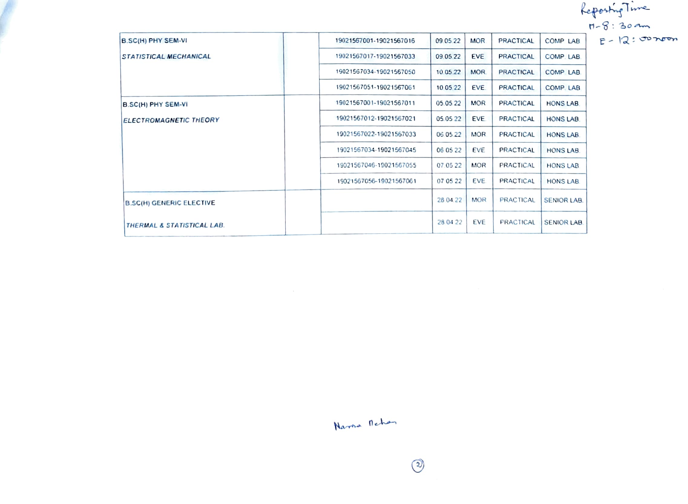report

| B.SC(H) PHY SEM-VI              | 19021567001-19021567016 | 09.05.22 | <b>MOR</b> | <b>PRACTICAL</b> | COMP LAB           | $H - 8:30$ am<br>$E - 12:30$ |
|---------------------------------|-------------------------|----------|------------|------------------|--------------------|------------------------------|
| <b>STATISTICAL MECHANICAL</b>   | 19021567017-19021567033 | 09.05.22 | EVE        | <b>PRACTICAL</b> | COMP. LAB.         |                              |
|                                 | 19021567034-19021567050 | 10 05 22 | MOR.       | <b>PRACTICAL</b> | COMP LAB           |                              |
|                                 | 19021567051-19021567061 | 10 05 22 | EVE.       | <b>PRACTICAL</b> | COMP. LAB.         |                              |
| B.SC(H) PHY SEM-VI              | 19021567001-19021567011 | 05.05.22 | <b>MOR</b> | PRACTICAL        | HONS LAB.          |                              |
| <b>ELECTROMAGNETIC THEORY</b>   | 19021567012-19021567021 | 05.05.22 | EVE.       | <b>PRACTICAL</b> | HONS LAB.          |                              |
|                                 | 19021567022-19021567033 | 06.05.22 | MOR.       | <b>PRACTICAL</b> | HONS LAB.          |                              |
|                                 | 19021567034-19021567045 | 06 05 22 | <b>EVE</b> | <b>PRACTICAL</b> | HONS LAB.          |                              |
|                                 | 19021567046-19021567055 | 07.05.22 | <b>MOR</b> | PRACTICAL        | HONS LAB.          |                              |
|                                 | 19021567056-19021567061 | 07 05 22 | EVE        | PRACTICAL        | <b>HONS LAB</b>    |                              |
| <b>B.SC(H) GENERIC ELECTIVE</b> |                         | 28.04.22 | <b>MOR</b> | <b>PRACTICAL</b> | <b>SENIOR LAB.</b> |                              |
| THERMAL & STATISTICAL LAB.      |                         | 28.04.22 | EVE        | PRACTICAL        | <b>SENIOR LAB.</b> |                              |

Nama Rehan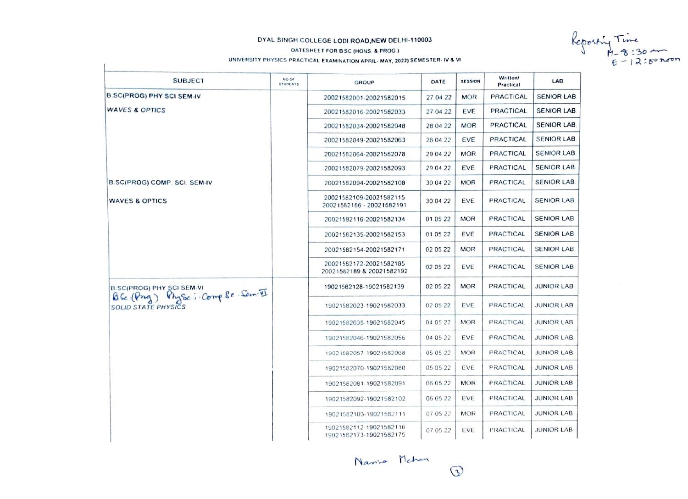### UNIVERSITY PHYSICS PRACTICAL EXAMINATION APRIL- MAY, 2022) SEMESTER- IV & VI

DYAL SINGH COLLEGE LODI ROAD, NEW DELHI-110003<br>
DATESHEET FOR BSC (HONS. & PROG.)<br>TY PHYSICS PRACTICAL EXAMINATION APRIL-MAY, 2022) SEMESTER- IV & VI<br>  $E = 12.58$  PLAT

| <b>SUBJECT</b>                                                                                     | NO OF<br><b>STUDENTS</b> | <b>GROUP</b>                                         | DATE     | <b>SESSION</b> | <b>Written/</b><br>Practical | <b>LAB</b>         |
|----------------------------------------------------------------------------------------------------|--------------------------|------------------------------------------------------|----------|----------------|------------------------------|--------------------|
| <b>B.SC(PROG) PHY SCI SEM-IV</b>                                                                   |                          | 20021582001-20021582015                              | 27.04.22 | <b>MOR</b>     | <b>PRACTICAL</b>             | <b>SENIOR LAB.</b> |
| <b>WAVES &amp; OPTICS</b>                                                                          |                          | 20021582016-20021582033                              | 27.04.22 | EVE.           | <b>PRACTICAL</b>             | <b>SENIOR LAB.</b> |
|                                                                                                    |                          | 20021582034-20021582048                              | 28.04.22 | MOR.           | <b>PRACTICAL</b>             | <b>SENIOR LAB.</b> |
|                                                                                                    |                          | 20021582049-20021582063                              | 28.04.22 | EVE            | PRACTICAL                    | <b>SENIOR LAB.</b> |
|                                                                                                    |                          | 20021582064-20021582078                              | 29 04 22 | MOR.           | <b>PRACTICAL</b>             | <b>SENIOR LAB.</b> |
|                                                                                                    |                          | 20021582079-20021582093                              | 29 04 22 | <b>EVE</b>     | <b>PRACTICAL</b>             | SENIOR LAB.        |
| B.SC(PROG) COMP. SCI. SEM-IV                                                                       |                          | 20021582094-20021582108                              | 30.04.22 | <b>MOR</b>     | <b>PRACTICAL</b>             | <b>SENIOR LAB.</b> |
| <b>WAVES &amp; OPTICS</b>                                                                          |                          | 20021582109-20021582115<br>20021582186 - 20021582191 | 30.04.22 | EVE            | <b>PRACTICAL</b>             | <b>SENIOR LAB.</b> |
|                                                                                                    |                          | 20021582116-20021582134                              | 01 05 22 | <b>MOR</b>     | <b>PRACTICAL</b>             | <b>SENIOR LAB.</b> |
|                                                                                                    |                          | 20021582135-20021582153                              | 01.05.22 | EVE.           | <b>PRACTICAL</b>             | <b>SENIOR LAB.</b> |
|                                                                                                    |                          | 20021582154-20021582171                              | 02.05.22 | <b>MOR</b>     | <b>PRACTICAL</b>             | <b>SENIOR LAB</b>  |
|                                                                                                    |                          | 20021582172-20021582185<br>20021582189 & 20021582192 | 02.05.22 | EVE            | PRACTICAL                    | <b>SENIOR LAB</b>  |
| <b>B.SC(PROG) PHY SCI SEM-VI</b><br>BG (Ping) Physic; Comp &e Sem-II<br><b>SOLID STATE PHYSICS</b> |                          | 19021582128-19021582139                              | 02 05 22 | MOR.           | PRACTICAL                    | <b>JUNIOR LAB</b>  |
|                                                                                                    |                          | 19021582023-19021582033                              | 02 05 22 | EVE            | <b>PRACTICAL</b>             | <b>JUNIOR LAB</b>  |
|                                                                                                    |                          | 19021582035-19021582045                              | 04 05 22 | MOR.           | PRACTICAL                    | <b>JUNIOR LAB</b>  |
|                                                                                                    |                          | 19021582046-19021582056                              | 04 05 22 | EVE            | PRACTICAL                    | <b>JUNIOR LAB</b>  |
|                                                                                                    |                          | 19021582057-19021582068                              | 05 05 22 | <b>MOR</b>     | PRACTICAL                    | <b>JUNIOR LAB</b>  |
|                                                                                                    |                          | 19021582070-19021582080                              | 05 05 22 | EVE            | PRACTICAL                    | <b>JUNIOR LAB</b>  |
|                                                                                                    |                          | 19021582081-19021582091                              | 06 05 22 | <b>MOR</b>     | PRACTICAL                    | <b>JUNIOR LAB</b>  |
|                                                                                                    |                          | 19021582092-19021582102                              | 06 05 22 | EVE            | PRACTICAL                    | <b>JUNIOR LAB</b>  |
|                                                                                                    |                          | 19021582103-19021582111                              | 07 05 22 | <b>MOR</b>     | PRACTICAL                    | JUNIOR LAB         |
|                                                                                                    |                          | 19021582112-19021582116<br>19021582173-19021582175   | 07 05.22 | EVE            | PRACTICAL                    | <b>JUNIOR LAB</b>  |

Name Mehan

 $\odot$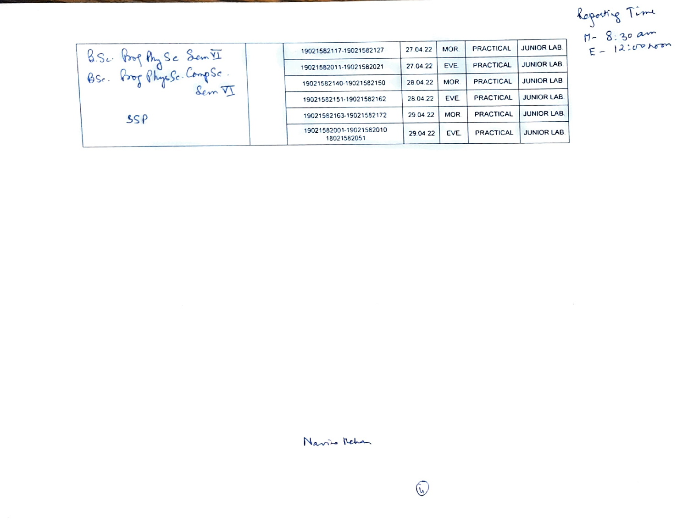Reporting Time<br>M- 8:30 am<br>E-12:00 hom

|                                                                     | 19021582117-19021582127                | 27.04.22 | <b>MOR</b> | <b>PRACTICAL</b> | <b>JUNIOR LAB.</b> |
|---------------------------------------------------------------------|----------------------------------------|----------|------------|------------------|--------------------|
| B.S. Prog Phy Se Sem VI<br>BS. Prof Physic Compse.<br>Sem VI<br>SSP | 19021582011-19021582021                | 27.04.22 | EVE.       | <b>PRACTICAL</b> | <b>JUNIOR LAB.</b> |
|                                                                     | 19021582140-19021582150                | 28.04.22 | <b>MOR</b> | <b>PRACTICAL</b> | <b>JUNIOR LAB</b>  |
|                                                                     | 19021582151-19021582162                | 28.04.22 | EVE.       | <b>PRACTICAL</b> | <b>JUNIOR LAB.</b> |
|                                                                     | 19021582163-19021582172                | 29.04.22 | <b>MOR</b> | <b>PRACTICAL</b> | <b>JUNIOR LAB.</b> |
|                                                                     | 19021582001-19021582010<br>18021582051 | 29.04.22 | EVE.       | <b>PRACTICAL</b> | <b>JUNIOR LAB.</b> |

Navis Rehan